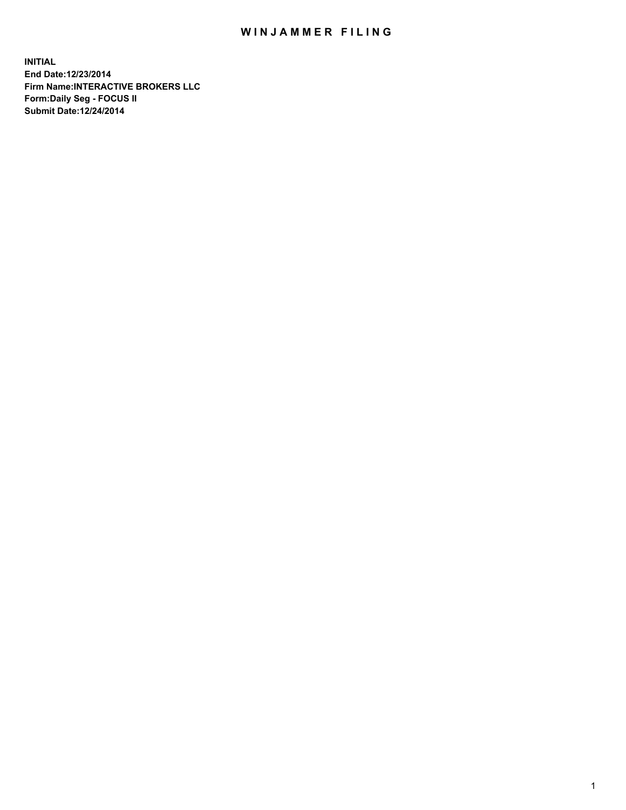## WIN JAMMER FILING

**INITIAL End Date:12/23/2014 Firm Name:INTERACTIVE BROKERS LLC Form:Daily Seg - FOCUS II Submit Date:12/24/2014**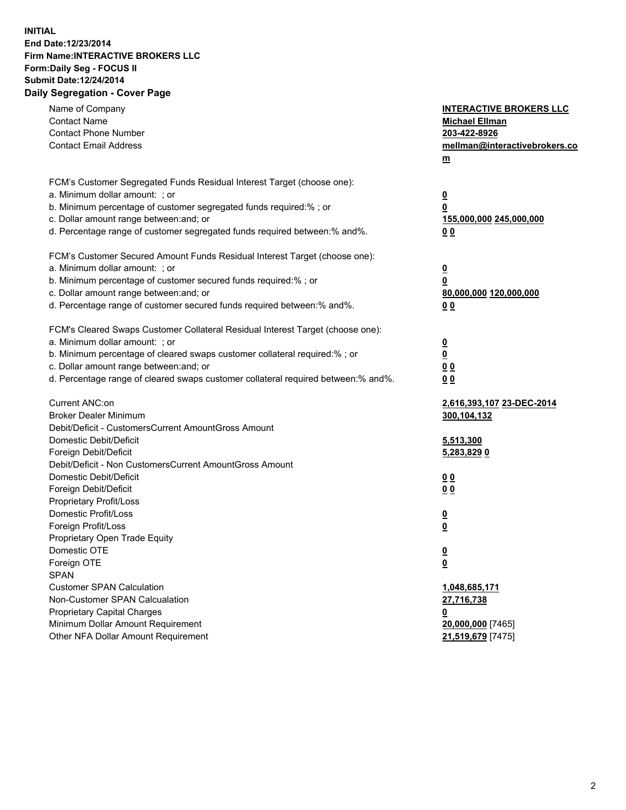## **INITIAL End Date:12/23/2014 Firm Name:INTERACTIVE BROKERS LLC Form:Daily Seg - FOCUS II Submit Date:12/24/2014 Daily Segregation - Cover Page**

| Name of Company<br><b>Contact Name</b><br><b>Contact Phone Number</b><br><b>Contact Email Address</b>                                                                                                                                                                                                                          | <b>INTERACTIVE BROKERS LLC</b><br><b>Michael Ellman</b><br>203-422-8926<br>mellman@interactivebrokers.co<br>m |
|--------------------------------------------------------------------------------------------------------------------------------------------------------------------------------------------------------------------------------------------------------------------------------------------------------------------------------|---------------------------------------------------------------------------------------------------------------|
| FCM's Customer Segregated Funds Residual Interest Target (choose one):<br>a. Minimum dollar amount: ; or<br>b. Minimum percentage of customer segregated funds required:% ; or<br>c. Dollar amount range between: and; or<br>d. Percentage range of customer segregated funds required between:% and%.                         | $\overline{\mathbf{0}}$<br>0<br>155,000,000 245,000,000<br>00                                                 |
| FCM's Customer Secured Amount Funds Residual Interest Target (choose one):<br>a. Minimum dollar amount: ; or<br>b. Minimum percentage of customer secured funds required:% ; or<br>c. Dollar amount range between: and; or<br>d. Percentage range of customer secured funds required between:% and%.                           | $\overline{\mathbf{0}}$<br>0<br>80,000,000 120,000,000<br>0 <sub>0</sub>                                      |
| FCM's Cleared Swaps Customer Collateral Residual Interest Target (choose one):<br>a. Minimum dollar amount: ; or<br>b. Minimum percentage of cleared swaps customer collateral required:% ; or<br>c. Dollar amount range between: and; or<br>d. Percentage range of cleared swaps customer collateral required between:% and%. | $\overline{\mathbf{0}}$<br><u>0</u><br>0 <sub>0</sub><br>0 <sub>0</sub>                                       |
| Current ANC:on<br><b>Broker Dealer Minimum</b><br>Debit/Deficit - CustomersCurrent AmountGross Amount<br>Domestic Debit/Deficit<br>Foreign Debit/Deficit                                                                                                                                                                       | 2,616,393,107 23-DEC-2014<br>300,104,132<br>5,513,300<br>5,283,829 0                                          |
| Debit/Deficit - Non CustomersCurrent AmountGross Amount<br>Domestic Debit/Deficit<br>Foreign Debit/Deficit<br>Proprietary Profit/Loss<br>Domestic Profit/Loss<br>Foreign Profit/Loss                                                                                                                                           | 0 <sub>0</sub><br>0 <sub>0</sub><br>$\overline{\mathbf{0}}$<br>$\overline{\mathbf{0}}$                        |
| Proprietary Open Trade Equity<br>Domestic OTE<br>Foreign OTE<br><b>SPAN</b><br><b>Customer SPAN Calculation</b><br>Non-Customer SPAN Calcualation                                                                                                                                                                              | $\overline{\mathbf{0}}$<br><u>0</u><br>1,048,685,171<br>27,716,738                                            |
| <b>Proprietary Capital Charges</b><br>Minimum Dollar Amount Requirement<br>Other NFA Dollar Amount Requirement                                                                                                                                                                                                                 | <u>0</u><br>20,000,000 [7465]<br>21,519,679 [7475]                                                            |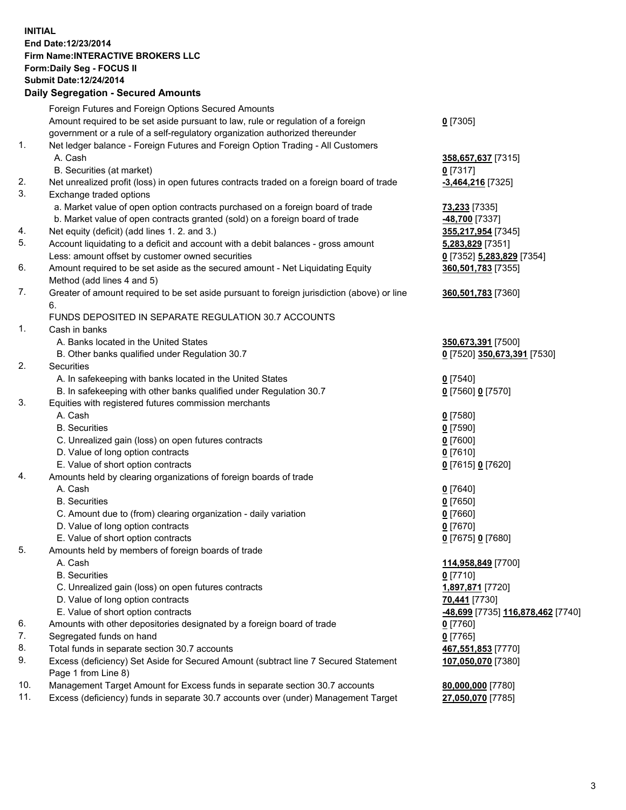## **INITIAL End Date:12/23/2014 Firm Name:INTERACTIVE BROKERS LLC Form:Daily Seg - FOCUS II Submit Date:12/24/2014 Daily Segregation - Secured Amounts**

| Foreign Futures and Foreign Options Secured Amounts                                         |                                                       |
|---------------------------------------------------------------------------------------------|-------------------------------------------------------|
| Amount required to be set aside pursuant to law, rule or regulation of a foreign            | $0$ [7305]                                            |
| government or a rule of a self-regulatory organization authorized thereunder                |                                                       |
| Net ledger balance - Foreign Futures and Foreign Option Trading - All Customers             |                                                       |
| A. Cash                                                                                     | 358,657,637 [7315]                                    |
| B. Securities (at market)                                                                   | $0$ [7317]                                            |
| Net unrealized profit (loss) in open futures contracts traded on a foreign board of trade   | -3,464,216 [7325]                                     |
| Exchange traded options                                                                     |                                                       |
| a. Market value of open option contracts purchased on a foreign board of trade              | 73,233 [7335]                                         |
| b. Market value of open contracts granted (sold) on a foreign board of trade                | -48,700 [7337]                                        |
| Net equity (deficit) (add lines 1. 2. and 3.)                                               | 355,217,954 [7345]                                    |
| Account liquidating to a deficit and account with a debit balances - gross amount           | 5,283,829 [7351]                                      |
| Less: amount offset by customer owned securities                                            | 0 [7352] 5,283,829 [7354]                             |
| Amount required to be set aside as the secured amount - Net Liquidating Equity              | 360,501,783 [7355]                                    |
| Method (add lines 4 and 5)                                                                  |                                                       |
| Greater of amount required to be set aside pursuant to foreign jurisdiction (above) or line | 360,501,783 [7360]                                    |
| 6.                                                                                          |                                                       |
| FUNDS DEPOSITED IN SEPARATE REGULATION 30.7 ACCOUNTS                                        |                                                       |
| Cash in banks                                                                               |                                                       |
| A. Banks located in the United States                                                       | 350,673,391 [7500]                                    |
| B. Other banks qualified under Regulation 30.7                                              | 0 [7520] 350,673,391 [7530]                           |
| Securities                                                                                  |                                                       |
| A. In safekeeping with banks located in the United States                                   | $0$ [7540]                                            |
| B. In safekeeping with other banks qualified under Regulation 30.7                          | 0 [7560] 0 [7570]                                     |
| Equities with registered futures commission merchants                                       |                                                       |
| A. Cash                                                                                     | $0$ [7580]                                            |
| <b>B.</b> Securities                                                                        | $0$ [7590]                                            |
| C. Unrealized gain (loss) on open futures contracts                                         | $0$ [7600]                                            |
| D. Value of long option contracts                                                           | $0$ [7610]                                            |
| E. Value of short option contracts                                                          | 0 [7615] 0 [7620]                                     |
| Amounts held by clearing organizations of foreign boards of trade                           |                                                       |
| A. Cash                                                                                     | $0$ [7640]                                            |
| <b>B.</b> Securities                                                                        | $0$ [7650]                                            |
| C. Amount due to (from) clearing organization - daily variation                             | $0$ [7660]                                            |
| D. Value of long option contracts                                                           | $0$ [7670]                                            |
| E. Value of short option contracts                                                          | 0 [7675] 0 [7680]                                     |
| Amounts held by members of foreign boards of trade                                          |                                                       |
| A. Cash                                                                                     | 114,958,849 [7700]                                    |
| <b>B.</b> Securities                                                                        | $0$ [7710]                                            |
| C. Unrealized gain (loss) on open futures contracts                                         | 1,897,871 [7720]                                      |
| D. Value of long option contracts                                                           | 70,441 [7730]                                         |
| E. Value of short option contracts                                                          | <mark>-48,699</mark> [7735] <u>116,878,462</u> [7740] |
| Amounts with other depositories designated by a foreign board of trade                      | $0$ [7760]                                            |
| Segregated funds on hand                                                                    | $0$ [7765]                                            |
| Total funds in separate section 30.7 accounts                                               | 467,551,853 [7770]                                    |
| Excess (deficiency) Set Aside for Secured Amount (subtract line 7 Secured Statement         | 107,050,070 [7380]                                    |
| Page 1 from Line 8)                                                                         |                                                       |
| Management Target Amount for Excess funds in separate section 30.7 accounts                 | 80,000,000 [7780]                                     |
| Excess (deficiency) funds in separate 30.7 accounts over (under) Management Target          | 27,050,070 [7785]                                     |
|                                                                                             |                                                       |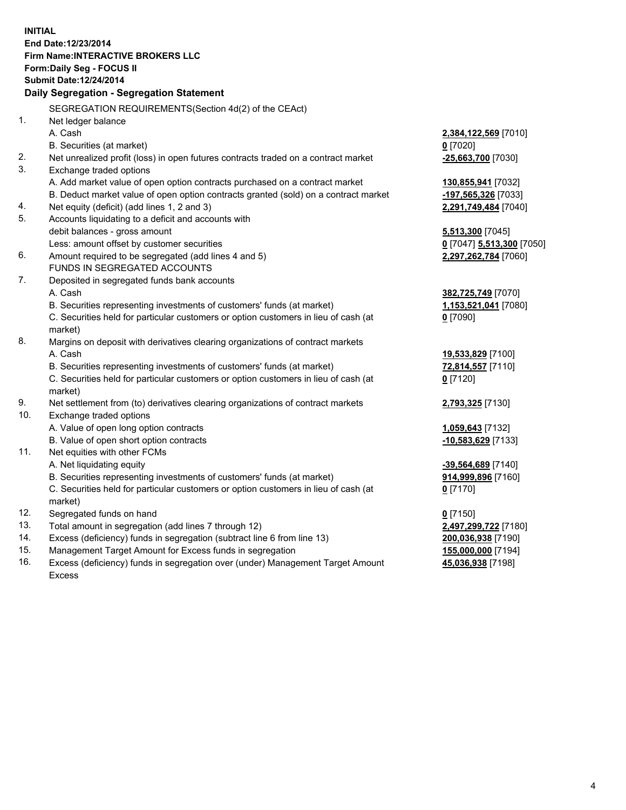**INITIAL End Date:12/23/2014 Firm Name:INTERACTIVE BROKERS LLC Form:Daily Seg - FOCUS II Submit Date:12/24/2014 Daily Segregation - Segregation Statement** SEGREGATION REQUIREMENTS(Section 4d(2) of the CEAct) 1. Net ledger balance A. Cash **2,384,122,569** [7010] B. Securities (at market) **0** [7020] 2. Net unrealized profit (loss) in open futures contracts traded on a contract market **-25,663,700** [7030] 3. Exchange traded options A. Add market value of open option contracts purchased on a contract market **130,855,941** [7032] B. Deduct market value of open option contracts granted (sold) on a contract market **-197,565,326** [7033] 4. Net equity (deficit) (add lines 1, 2 and 3) **2,291,749,484** [7040] 5. Accounts liquidating to a deficit and accounts with debit balances - gross amount **5,513,300** [7045] Less: amount offset by customer securities **0** [7047] **5,513,300** [7050] 6. Amount required to be segregated (add lines 4 and 5) **2,297,262,784** [7060] FUNDS IN SEGREGATED ACCOUNTS 7. Deposited in segregated funds bank accounts A. Cash **382,725,749** [7070] B. Securities representing investments of customers' funds (at market) **1,153,521,041** [7080] C. Securities held for particular customers or option customers in lieu of cash (at market) **0** [7090] 8. Margins on deposit with derivatives clearing organizations of contract markets A. Cash **19,533,829** [7100] B. Securities representing investments of customers' funds (at market) **72,814,557** [7110] C. Securities held for particular customers or option customers in lieu of cash (at market) **0** [7120] 9. Net settlement from (to) derivatives clearing organizations of contract markets **2,793,325** [7130] 10. Exchange traded options A. Value of open long option contracts **1,059,643** [7132] B. Value of open short option contracts **-10,583,629** [7133] 11. Net equities with other FCMs A. Net liquidating equity **-39,564,689** [7140] B. Securities representing investments of customers' funds (at market) **914,999,896** [7160] C. Securities held for particular customers or option customers in lieu of cash (at market) **0** [7170] 12. Segregated funds on hand **0** [7150] 13. Total amount in segregation (add lines 7 through 12) **2,497,299,722** [7180] 14. Excess (deficiency) funds in segregation (subtract line 6 from line 13) **200,036,938** [7190] 15. Management Target Amount for Excess funds in segregation **155,000,000** [7194]

16. Excess (deficiency) funds in segregation over (under) Management Target Amount Excess

4

**45,036,938** [7198]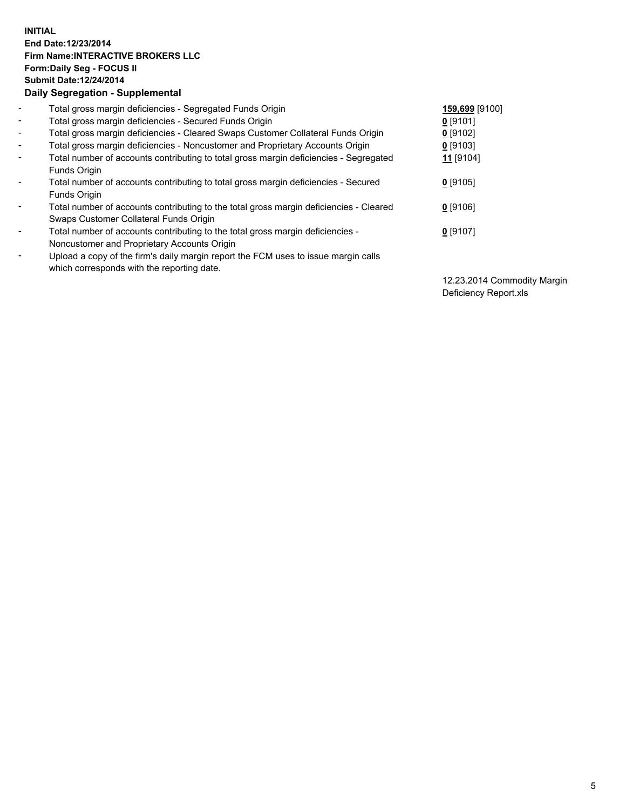## **INITIAL End Date:12/23/2014 Firm Name:INTERACTIVE BROKERS LLC Form:Daily Seg - FOCUS II Submit Date:12/24/2014 Daily Segregation - Supplemental**

| $\blacksquare$           | Total gross margin deficiencies - Segregated Funds Origin                              | 159,699 [9100]       |
|--------------------------|----------------------------------------------------------------------------------------|----------------------|
| $\sim$                   | Total gross margin deficiencies - Secured Funds Origin                                 | $0$ [9101]           |
| $\blacksquare$           | Total gross margin deficiencies - Cleared Swaps Customer Collateral Funds Origin       | $0$ [9102]           |
| $\blacksquare$           | Total gross margin deficiencies - Noncustomer and Proprietary Accounts Origin          | $0$ [9103]           |
| $\blacksquare$           | Total number of accounts contributing to total gross margin deficiencies - Segregated  | 11 <sub>[9104]</sub> |
|                          | Funds Origin                                                                           |                      |
| $\blacksquare$           | Total number of accounts contributing to total gross margin deficiencies - Secured     | $0$ [9105]           |
|                          | <b>Funds Origin</b>                                                                    |                      |
| $\blacksquare$           | Total number of accounts contributing to the total gross margin deficiencies - Cleared | $0$ [9106]           |
|                          | Swaps Customer Collateral Funds Origin                                                 |                      |
| $\overline{\phantom{a}}$ | Total number of accounts contributing to the total gross margin deficiencies -         | $0$ [9107]           |
|                          | Noncustomer and Proprietary Accounts Origin                                            |                      |
| $\overline{\phantom{a}}$ | Upload a copy of the firm's daily margin report the FCM uses to issue margin calls     |                      |
|                          | which corresponds with the reporting date.                                             |                      |

12.23.2014 Commodity Margin Deficiency Report.xls